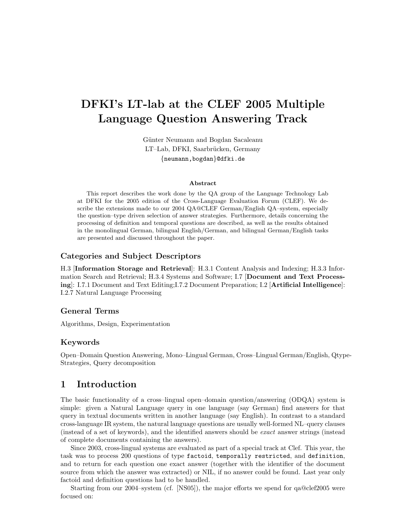# DFKI's LT-lab at the CLEF 2005 Multiple Language Question Answering Track

Günter Neumann and Bogdan Sacaleanu LT–Lab, DFKI, Saarbrücken, Germany {neumann,bogdan}@dfki.de

#### Abstract

This report describes the work done by the QA group of the Language Technology Lab at DFKI for the 2005 edition of the Cross-Language Evaluation Forum (CLEF). We describe the extensions made to our 2004 QA@CLEF German/English QA–system, especially the question–type driven selection of answer strategies. Furthermore, details concerning the processing of definition and temporal questions are described, as well as the results obtained in the monolingual German, bilingual English/German, and bilingual German/English tasks are presented and discussed throughout the paper.

### Categories and Subject Descriptors

H.3 [Information Storage and Retrieval]: H.3.1 Content Analysis and Indexing; H.3.3 Information Search and Retrieval; H.3.4 Systems and Software; I.7 [Document and Text Processing]: I.7.1 Document and Text Editing;I.7.2 Document Preparation; I.2 [Artificial Intelligence]: I.2.7 Natural Language Processing

### General Terms

Algorithms, Design, Experimentation

### Keywords

Open–Domain Question Answering, Mono–Lingual German, Cross–Lingual German/English, Qtype-Strategies, Query decomposition

# 1 Introduction

The basic functionality of a cross–lingual open–domain question/answering (ODQA) system is simple: given a Natural Language query in one language (say German) find answers for that query in textual documents written in another language (say English). In contrast to a standard cross-language IR system, the natural language questions are usually well-formed NL–query clauses (instead of a set of keywords), and the identified answers should be exact answer strings (instead of complete documents containing the answers).

Since 2003, cross-lingual systems are evaluated as part of a special track at Clef. This year, the task was to process 200 questions of type factoid, temporally restricted, and definition, and to return for each question one exact answer (together with the identifier of the document source from which the answer was extracted) or NIL, if no answer could be found. Last year only factoid and definition questions had to be handled.

Starting from our 2004–system (cf. [NS05]), the major efforts we spend for qa@clef2005 were focused on: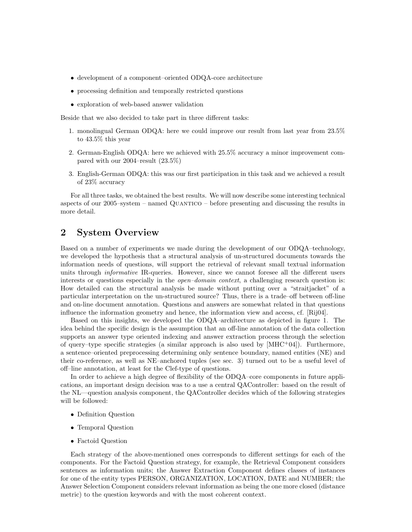- development of a component–oriented ODQA-core architecture
- processing definition and temporally restricted questions
- exploration of web-based answer validation

Beside that we also decided to take part in three different tasks:

- 1. monolingual German ODQA: here we could improve our result from last year from 23.5% to 43.5% this year
- 2. German-English ODQA: here we achieved with 25.5% accuracy a minor improvement compared with our 2004–result (23.5%)
- 3. English-German ODQA: this was our first participation in this task and we achieved a result of 23% accuracy

For all three tasks, we obtained the best results. We will now describe some interesting technical aspects of our 2005–system – named Quantico – before presenting and discussing the results in more detail.

# 2 System Overview

Based on a number of experiments we made during the development of our ODQA–technology, we developed the hypothesis that a structural analysis of un-structured documents towards the information needs of questions, will support the retrieval of relevant small textual information units through *informative* IR-queries. However, since we cannot foresee all the different users interests or questions especially in the *open-domain context*, a challenging research question is: How detailed can the structural analysis be made without putting over a "straitjacket" of a particular interpretation on the un-structured source? Thus, there is a trade–off between off-line and on-line document annotation. Questions and answers are somewhat related in that questions influence the information geometry and hence, the information view and access, cf. [Rij04].

Based on this insights, we developed the ODQA–architecture as depicted in figure 1. The idea behind the specific design is the assumption that an off-line annotation of the data collection supports an answer type oriented indexing and answer extraction process through the selection of query–type specific strategies (a similar approach is also used by  $[MHC^+04]$ ). Furthermore, a sentence–oriented preprocessing determining only sentence boundary, named entities (NE) and their co-reference, as well as NE–anchored tuples (see sec. 3) turned out to be a useful level of off–line annotation, at least for the Clef-type of questions.

In order to achieve a high degree of flexibility of the ODQA–core components in future applications, an important design decision was to a use a central QAController: based on the result of the NL—question analysis component, the QAController decides which of the following strategies will be followed:

- Definition Question
- Temporal Question
- Factoid Question

Each strategy of the above-mentioned ones corresponds to different settings for each of the components. For the Factoid Question strategy, for example, the Retrieval Component considers sentences as information units; the Answer Extraction Component defines classes of instances for one of the entity types PERSON, ORGANIZATION, LOCATION, DATE and NUMBER; the Answer Selection Component considers relevant information as being the one more closed (distance metric) to the question keywords and with the most coherent context.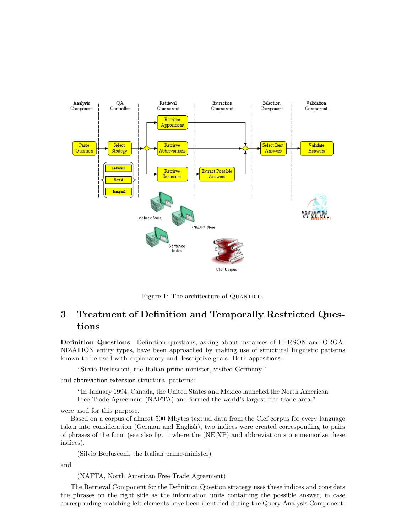

Figure 1: The architecture of QUANTICO.

# 3 Treatment of Definition and Temporally Restricted Questions

Definition Questions Definition questions, asking about instances of PERSON and ORGA-NIZATION entity types, have been approached by making use of structural linguistic patterns known to be used with explanatory and descriptive goals. Both appositions:

"Silvio Berlusconi, the Italian prime-minister, visited Germany."

and abbreviation-extension structural patterns:

"In January 1994, Canada, the United States and Mexico launched the North American Free Trade Agreement (NAFTA) and formed the world's largest free trade area."

were used for this purpose.

Based on a corpus of almost 500 Mbytes textual data from the Clef corpus for every language taken into consideration (German and English), two indices were created corresponding to pairs of phrases of the form (see also fig. 1 where the (NE,XP) and abbreviation store memorize these indices).

(Silvio Berlusconi, the Italian prime-minister)

and

(NAFTA, North American Free Trade Agreement)

The Retrieval Component for the Definition Question strategy uses these indices and considers the phrases on the right side as the information units containing the possible answer, in case corresponding matching left elements have been identified during the Query Analysis Component.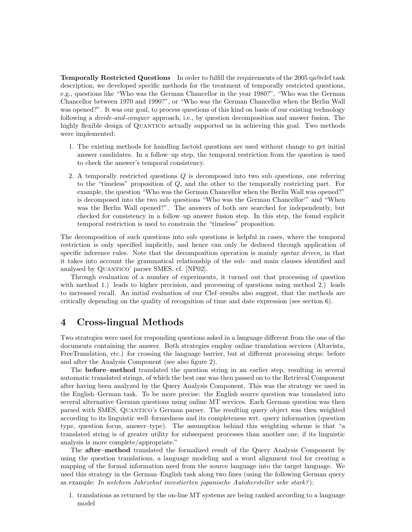Temporally Restricted Questions In order to fulfill the requirements of the 2005 qa@clef task description, we developed specific methods for the treatment of temporally restricted questions, e.g., questions like "Who was the German Chancellor in the year 1980?", "Who was the German Chancellor between 1970 and 1990?", or "Who was the German Chancellor when the Berlin Wall was opened?". It was our goal, to process questions of this kind on basis of our existing technology following a *divide-and-conquer* approach, i.e., by question decomposition and answer fusion. The highly flexible design of QUANTICO actually supported us in achieving this goal. Two methods were implemented:

- 1. The existing methods for handling factoid questions are used without change to get initial answer candidates. In a follow–up step, the temporal restriction from the question is used to check the answer's temporal consistency.
- 2. A temporally restricted questions Q is decomposed into two sub–questions, one referring to the "timeless" proposition of Q, and the other to the temporally restricting part. For example, the question "Who was the German Chancellor when the Berlin Wall was opened?" is decomposed into the two sub–questions "Who was the German Chancellor'" and "When was the Berlin Wall opened?". The answers of both are searched for independently, but checked for consistency in a follow–up answer fusion step. In this step, the found explicit temporal restriction is used to constrain the "timeless" proposition.

The decomposition of such questions into sub–questions is helpful in cases, where the temporal restriction is only specified implicitly, and hence can only be deduced through application of specific inference rules. Note that the decomposition operation is mainly *syntax driven*, in that it takes into account the grammatical relationship of the sub– and main clauses identified and analysed by Quantico' parser SMES, cf. [NP02].

Through evaluation of a number of experiments, it turned out that processing of question with method 1.) leads to higher precision, and processing of questions using method 2.) leads to increased recall. An initial evaluation of our Clef–results also suggest, that the methods are critically depending on the quality of recognition of time and date expression (see section 6).

# 4 Cross-lingual Methods

Two strategies were used for responding questions asked in a language different from the one of the documents containing the answer. Both strategies employ online translation services (Altavista, FreeTranslation, etc.) for crossing the language barrier, but at different processing steps: before and after the Analysis Component (see also figure 2).

The before–method translated the question string in an earlier step, resulting in several automatic translated strings, of which the best one was then passed on to the Retrieval Component after having been analyzed by the Query Analysis Component. This was the strategy we used in the English–German task. To be more precise: the English source question was translated into several alternative German questions using online MT services. Each German question was then parsed with SMES, Quantico's German parser. The resulting query object was then weighted according to its linguistic well–formedness and its completeness wrt. query information (question type, question focus, answer–type). The assumption behind this weighting scheme is that "a translated string is of greater utility for subsequent processes than another one, if its linguistic analysis is more complete/appropriate."

The after–method translated the formalized result of the Query Analysis Component by using the question translations, a language modeling and a word alignment tool for creating a mapping of the formal information need from the source language into the target language. We used this strategy in the German–English task along two lines (using the following German query as example: In welchem Jahrzehnt investierten japanische Autohersteller sehr stark?):

1. translations as returned by the on-line MT systems are being ranked according to a language model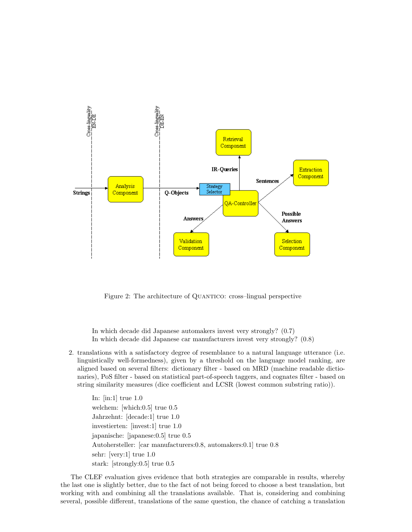

Figure 2: The architecture of QUANTICO: cross-lingual perspective

In which decade did Japanese automakers invest very strongly? (0.7) In which decade did Japanese car manufacturers invest very strongly? (0.8)

2. translations with a satisfactory degree of resemblance to a natural language utterance (i.e. linguistically well-formedness), given by a threshold on the language model ranking, are aligned based on several filters: dictionary filter - based on MRD (machine readable dictionaries), PoS filter - based on statistical part-of-speech taggers, and cognates filter - based on string similarity measures (dice coefficient and LCSR (lowest common substring ratio)).

In: [in:1] true 1.0 welchem: [which:0.5] true 0.5 Jahrzehnt: [decade:1] true 1.0 investierten: [invest:1] true 1.0 japanische: [japanese:0.5] true 0.5 Autohersteller: [car manufacturers:0.8, automakers:0.1] true 0.8 sehr: [very:1] true 1.0 stark: [strongly:0.5] true 0.5

The CLEF evaluation gives evidence that both strategies are comparable in results, whereby the last one is slightly better, due to the fact of not being forced to choose a best translation, but working with and combining all the translations available. That is, considering and combining several, possible different, translations of the same question, the chance of catching a translation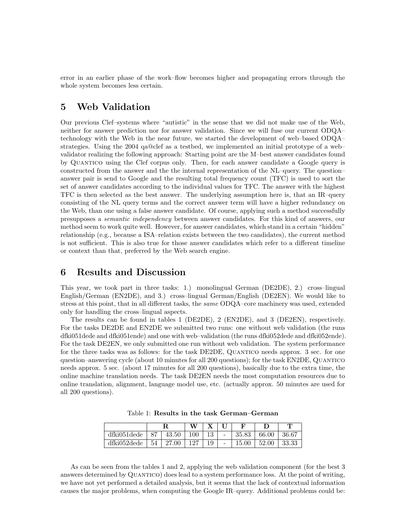error in an earlier phase of the work–flow becomes higher and propagating errors through the whole system becomes less certain.

# 5 Web Validation

Our previous Clef–systems where "autistic" in the sense that we did not make use of the Web, neither for answer prediction nor for answer validation. Since we will fuse our current ODQA– technology with the Web in the near future, we started the development of web–based ODQA– strategies. Using the 2004 qa@clef as a testbed, we implemented an initial prototype of a web– validator realizing the following approach: Starting point are the M–best answer candidates found by Quantico using the Clef corpus only. Then, for each answer candidate a Google query is constructed from the answer and the the internal representation of the NL–query. The question– answer pair is send to Google and the resulting total frequency count (TFC) is used to sort the set of answer candidates according to the individual values for TFC. The answer with the highest TFC is then selected as the best answer. The underlying assumption here is, that an IR–query consisting of the NL query terms and the correct answer term will have a higher redundancy on the Web, than one using a false answer candidate. Of course, applying such a method successfully presupposes a semantic independency between answer candidates. For this kind of answers, our method seem to work quite well. However, for answer candidates, which stand in a certain "hidden" relationship (e.g., because a ISA–relation exists between the two candidates), the current method is not sufficient. This is also true for those answer candidates which refer to a different timeline or context than that, preferred by the Web search engine.

## 6 Results and Discussion

This year, we took part in three tasks: 1.) monolingual German (DE2DE), 2.) cross–lingual English/German (EN2DE), and 3.) cross–lingual German/English (DE2EN). We would like to stress at this point, that in all different tasks, the *same* ODQA–core machinery was used, extended only for handling the cross–lingual aspects.

The results can be found in tables 1 (DE2DE), 2 (EN2DE), and 3 (DE2EN), respectively. For the tasks DE2DE and EN2DE we submitted two runs: one without web validation (the runs dfki051dede and dfki051ende) and one with web–validation (the runs dfki052dede and dfki052ende). For the task DE2EN, we only submitted one run without web validation. The system performance for the three tasks was as follows: for the task DE2DE, Quantico needs approx. 3 sec. for one question–answering cycle (about 10 minutes for all 200 questions); for the task EN2DE, Quantico needs approx. 5 sec. (about 17 minutes for all 200 questions), basically due to the extra time, the online machine translation needs. The task DE2EN needs the most computation resources due to online translation, alignment, language model use, etc. (actually approx. 50 minutes are used for all 200 questions).

|             |    |       | W   |    |   | ы         |       | m     |
|-------------|----|-------|-----|----|---|-----------|-------|-------|
| dfki051dede | 87 | 43.50 | 100 | 19 | - | 35.83     | 66.00 | 36.67 |
| dfki052dede | 54 | 27.00 | 127 |    | - | $15.00\,$ | 52.00 | 33.33 |

Table 1: Results in the task German–German

As can be seen from the tables 1 and 2, applying the web validation component (for the best 3 answers determined by QUANTICO) does lead to a system performance loss. At the point of writing, we have not yet performed a detailed analysis, but it seems that the lack of contextual information causes the major problems, when computing the Google IR–query. Additional problems could be: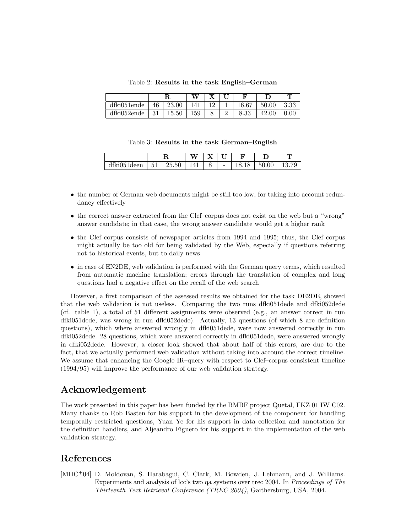|             |    |       | 37.7 |    | г     |       |      |
|-------------|----|-------|------|----|-------|-------|------|
| dfki051ende | 46 | 23.00 | 41   | 19 | 16.67 | 50.00 | 3.33 |
| dfki052ende | 31 | 15.50 | 159  |    | 8.33  | 42.00 |      |

Table 2: Results in the task English–German

| Table 3: Results in the task German-English |  |  |  |  |  |
|---------------------------------------------|--|--|--|--|--|
|---------------------------------------------|--|--|--|--|--|

|                         |                          |                      | $-1$ | --     | - -<br>๛                 |   |    | Ē |
|-------------------------|--------------------------|----------------------|------|--------|--------------------------|---|----|---|
| $-1$<br>$\tilde{}$<br>ີ | $-1$<br>ال ل<br><b>.</b> | $\mathbf{h}$<br>∠∪⊶∪ | -4   | O<br>◡ | $\overline{\phantom{a}}$ | ◡ | ∽. |   |

- the number of German web documents might be still too low, for taking into account redundancy effectively
- the correct answer extracted from the Clef–corpus does not exist on the web but a "wrong" answer candidate; in that case, the wrong answer candidate would get a higher rank
- the Clef corpus consists of newspaper articles from 1994 and 1995; thus, the Clef corpus might actually be too old for being validated by the Web, especially if questions referring not to historical events, but to daily news
- in case of EN2DE, web validation is performed with the German query terms, which resulted from automatic machine translation; errors through the translation of complex and long questions had a negative effect on the recall of the web search

However, a first comparison of the assessed results we obtained for the task DE2DE, showed that the web validation is not useless. Comparing the two runs dfki051dede and dfki052dede (cf. table 1), a total of 51 different assignments were observed (e.g., an answer correct in run dfki051dede, was wrong in run dfki052dede). Actually, 13 questions (of which 8 are definition questions), which where answered wrongly in dfki051dede, were now answered correctly in run dfki052dede. 28 questions, which were answered correctly in dfki051dede, were answered wrongly in dfki052dede. However, a closer look showed that about half of this errors, are due to the fact, that we actually performed web validation without taking into account the correct timeline. We assume that enhancing the Google IR–query with respect to Clef–corpus consistent timeline (1994/95) will improve the performance of our web validation strategy.

## Acknowledgement

The work presented in this paper has been funded by the BMBF project Quetal, FKZ 01 IW C02. Many thanks to Rob Basten for his support in the development of the component for handling temporally restricted questions, Yuan Ye for his support in data collection and annotation for the definition handlers, and Aljeandro Figuero for his support in the implementation of the web validation strategy.

# References

[MHC<sup>+</sup>04] D. Moldovan, S. Harabagui, C. Clark, M. Bowden, J. Lehmann, and J. Williams. Experiments and analysis of lcc's two qa systems over trec 2004. In Proceedings of The Thirteenth Text Retrieval Conference (TREC 2004), Gaithersburg, USA, 2004.